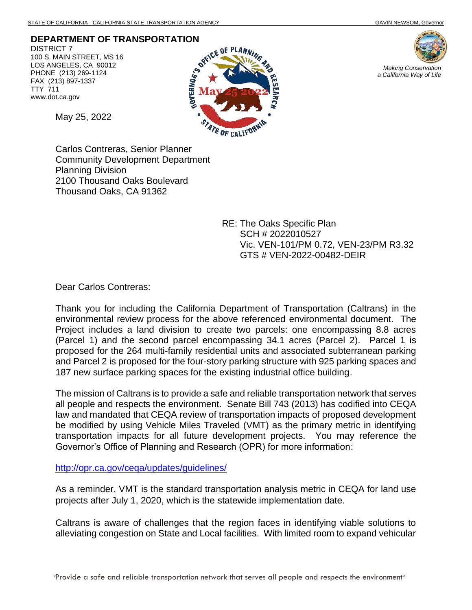**DEPARTMENT OF TRANSPORTATION**

DISTRICT 7 100 S. MAIN STREET, MS 16 LOS ANGELES, CA 90012 PHONE (213) 269-1124 FAX (213) 897-1337 TTY 711 www.dot.ca.gov

May 25, 2022





Carlos Contreras, Senior Planner Community Development Department Planning Division 2100 Thousand Oaks Boulevard Thousand Oaks, CA 91362

> RE: The Oaks Specific Plan SCH # 2022010527 Vic. VEN-101/PM 0.72, VEN-23/PM R3.32 GTS # VEN-2022-00482-DEIR

Dear Carlos Contreras:

Thank you for including the California Department of Transportation (Caltrans) in the environmental review process for the above referenced environmental document. The Project includes a land division to create two parcels: one encompassing 8.8 acres (Parcel 1) and the second parcel encompassing 34.1 acres (Parcel 2). Parcel 1 is proposed for the 264 multi-family residential units and associated subterranean parking and Parcel 2 is proposed for the four-story parking structure with 925 parking spaces and 187 new surface parking spaces for the existing industrial office building.

The mission of Caltrans is to provide a safe and reliable transportation network that serves all people and respects the environment. Senate Bill 743 (2013) has codified into CEQA law and mandated that CEQA review of transportation impacts of proposed development be modified by using Vehicle Miles Traveled (VMT) as the primary metric in identifying transportation impacts for all future development projects. You may reference the Governor's Office of Planning and Research (OPR) for more information:

<http://opr.ca.gov/ceqa/updates/guidelines/>

As a reminder, VMT is the standard transportation analysis metric in CEQA for land use projects after July 1, 2020, which is the statewide implementation date.

Caltrans is aware of challenges that the region faces in identifying viable solutions to alleviating congestion on State and Local facilities. With limited room to expand vehicular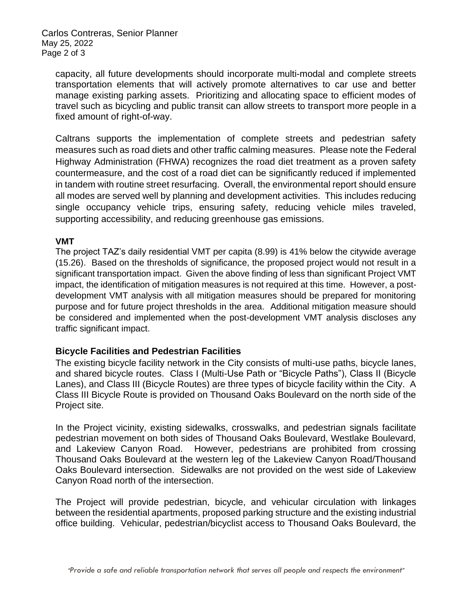Carlos Contreras, Senior Planner May 25, 2022 Page 2 of 3

capacity, all future developments should incorporate multi-modal and complete streets transportation elements that will actively promote alternatives to car use and better manage existing parking assets. Prioritizing and allocating space to efficient modes of travel such as bicycling and public transit can allow streets to transport more people in a fixed amount of right-of-way.

Caltrans supports the implementation of complete streets and pedestrian safety measures such as road diets and other traffic calming measures. Please note the Federal Highway Administration (FHWA) recognizes the road diet treatment as a proven safety countermeasure, and the cost of a road diet can be significantly reduced if implemented in tandem with routine street resurfacing. Overall, the environmental report should ensure all modes are served well by planning and development activities. This includes reducing single occupancy vehicle trips, ensuring safety, reducing vehicle miles traveled, supporting accessibility, and reducing greenhouse gas emissions.

## **VMT**

The project TAZ's daily residential VMT per capita (8.99) is 41% below the citywide average (15.26). Based on the thresholds of significance, the proposed project would not result in a significant transportation impact. Given the above finding of less than significant Project VMT impact, the identification of mitigation measures is not required at this time. However, a postdevelopment VMT analysis with all mitigation measures should be prepared for monitoring purpose and for future project thresholds in the area. Additional mitigation measure should be considered and implemented when the post-development VMT analysis discloses any traffic significant impact.

## **Bicycle Facilities and Pedestrian Facilities**

The existing bicycle facility network in the City consists of multi-use paths, bicycle lanes, and shared bicycle routes. Class I (Multi-Use Path or "Bicycle Paths"), Class II (Bicycle Lanes), and Class III (Bicycle Routes) are three types of bicycle facility within the City. A Class III Bicycle Route is provided on Thousand Oaks Boulevard on the north side of the Project site.

In the Project vicinity, existing sidewalks, crosswalks, and pedestrian signals facilitate pedestrian movement on both sides of Thousand Oaks Boulevard, Westlake Boulevard, and Lakeview Canyon Road. However, pedestrians are prohibited from crossing Thousand Oaks Boulevard at the western leg of the Lakeview Canyon Road/Thousand Oaks Boulevard intersection. Sidewalks are not provided on the west side of Lakeview Canyon Road north of the intersection.

The Project will provide pedestrian, bicycle, and vehicular circulation with linkages between the residential apartments, proposed parking structure and the existing industrial office building. Vehicular, pedestrian/bicyclist access to Thousand Oaks Boulevard, the